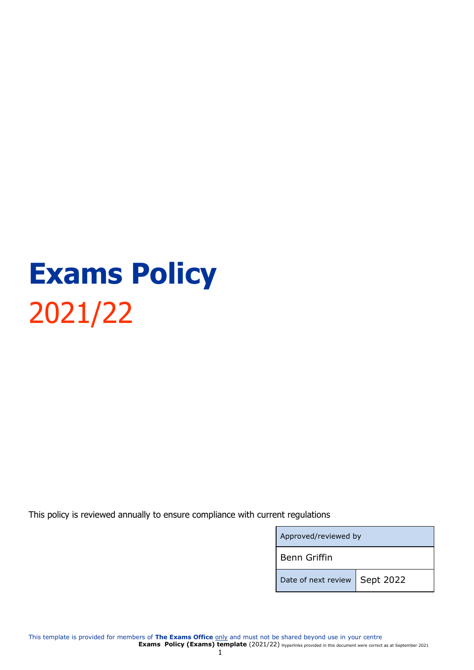# **Exams Policy** 2021/22

This policy is reviewed annually to ensure compliance with current regulations

| Approved/reviewed by          |  |  |
|-------------------------------|--|--|
| <b>Benn Griffin</b>           |  |  |
| Date of next review Sept 2022 |  |  |

This template is provided for members of **The Exams Office** only and must not be shared beyond use in your centre **Exams Policy (Exams) template** (2021/22) Hyperlinks provided in this document were correct as at September 2021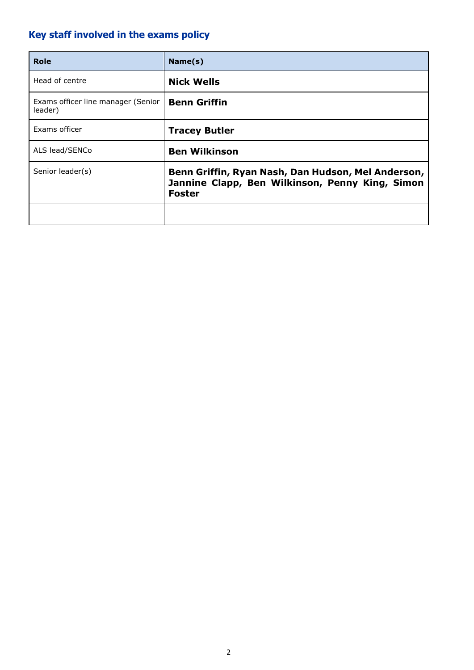## <span id="page-1-0"></span>**Key staff involved in the exams policy**

| <b>Role</b>                                   | Name(s)                                                                                                                |
|-----------------------------------------------|------------------------------------------------------------------------------------------------------------------------|
| Head of centre                                | <b>Nick Wells</b>                                                                                                      |
| Exams officer line manager (Senior<br>leader) | <b>Benn Griffin</b>                                                                                                    |
| Exams officer                                 | <b>Tracey Butler</b>                                                                                                   |
| ALS lead/SENCo                                | <b>Ben Wilkinson</b>                                                                                                   |
| Senior leader(s)                              | Benn Griffin, Ryan Nash, Dan Hudson, Mel Anderson,<br>Jannine Clapp, Ben Wilkinson, Penny King, Simon<br><b>Foster</b> |
|                                               |                                                                                                                        |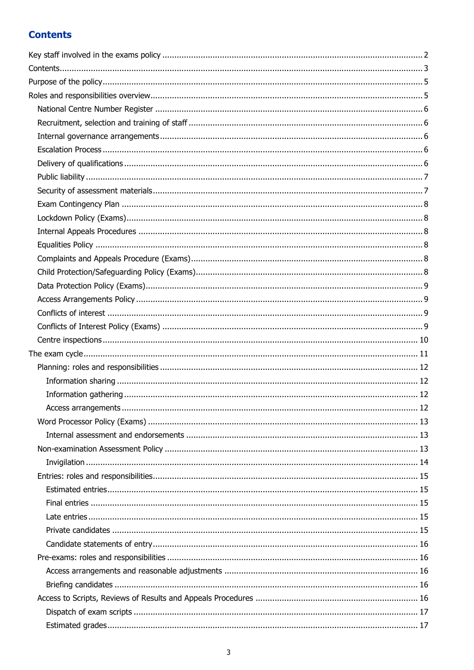## <span id="page-2-0"></span>**Contents**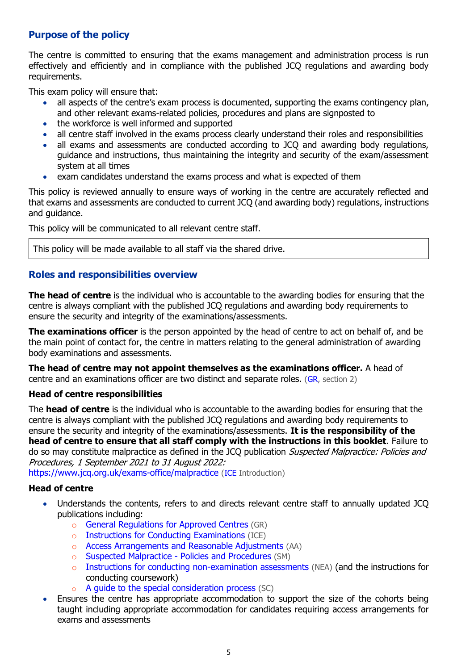## <span id="page-4-0"></span>**Purpose of the policy**

The centre is committed to ensuring that the exams management and administration process is run effectively and efficiently and in compliance with the published JCQ regulations and awarding body requirements.

This exam policy will ensure that:

- all aspects of the centre's exam process is documented, supporting the exams contingency plan, and other relevant exams-related policies, procedures and plans are signposted to
- the workforce is well informed and supported
- all centre staff involved in the exams process clearly understand their roles and responsibilities
- all exams and assessments are conducted according to JCQ and awarding body regulations, guidance and instructions, thus maintaining the integrity and security of the exam/assessment system at all times
- exam candidates understand the exams process and what is expected of them

This policy is reviewed annually to ensure ways of working in the centre are accurately reflected and that exams and assessments are conducted to current JCQ (and awarding body) regulations, instructions and guidance.

This policy will be communicated to all relevant centre staff.

This policy will be made available to all staff via the shared drive.

## <span id="page-4-1"></span>**Roles and responsibilities overview**

**The head of centre** is the individual who is accountable to the awarding bodies for ensuring that the centre is always compliant with the published JCQ regulations and awarding body requirements to ensure the security and integrity of the examinations/assessments.

**The examinations officer** is the person appointed by the head of centre to act on behalf of, and be the main point of contact for, the centre in matters relating to the general administration of awarding body examinations and assessments.

**The head of centre may not appoint themselves as the examinations officer.** A head of centre and an examinations officer are two distinct and separate roles. [\(GR,](http://www.jcq.org.uk/exams-office/general-regulations) section 2)

#### **Head of centre responsibilities**

The **head of centre** is the individual who is accountable to the awarding bodies for ensuring that the centre is always compliant with the published JCQ regulations and awarding body requirements to ensure the security and integrity of the examinations/assessments. **It is the responsibility of the head of centre to ensure that all staff comply with the instructions in this booklet**. Failure to do so may constitute malpractice as defined in the JCQ publication Suspected Malpractice: Policies and Procedures, 1 September 2021 to 31 August 2022:

<https://www.jcq.org.uk/exams-office/malpractice> [\(ICE](http://www.jcq.org.uk/exams-office/ice---instructions-for-conducting-examinations) Introduction)

## **Head of centre**

- Understands the contents, refers to and directs relevant centre staff to annually updated JCQ publications including:
	- o [General Regulations for Approved Centres](http://www.jcq.org.uk/exams-office/general-regulations) (GR)
	- o [Instructions for Conducting Examinations](http://www.jcq.org.uk/exams-office/ice---instructions-for-conducting-examinations) (ICE)
	- o [Access Arrangements and Reasonable Adjustments](http://www.jcq.org.uk/exams-office/access-arrangements-and-special-consideration/regulations-and-guidance) (AA)
	- o [Suspected Malpractice -](http://www.jcq.org.uk/exams-office/malpractice) Policies and Procedures (SM)
	- $\circ$  [Instructions for conducting non-examination assessments](http://www.jcq.org.uk/exams-office/non-examination-assessments) (NEA) (and the instructions for conducting coursework)
	- o [A guide to the special consideration process](http://www.jcq.org.uk/exams-office/access-arrangements-and-special-consideration/regulations-and-guidance) (SC)
- Ensures the centre has appropriate accommodation to support the size of the cohorts being taught including appropriate accommodation for candidates requiring access arrangements for exams and assessments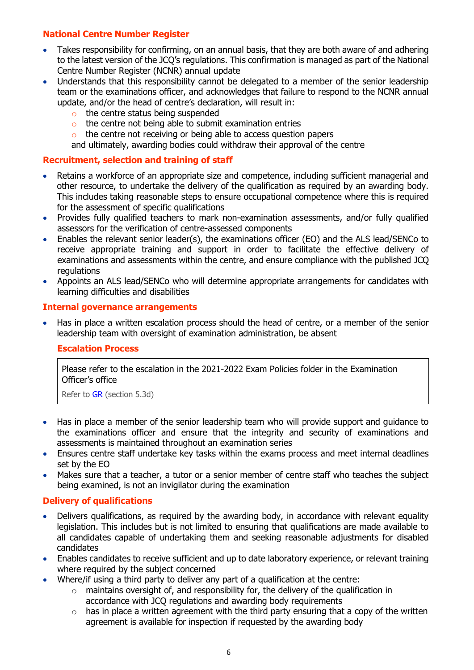## <span id="page-5-0"></span>**National Centre Number Register**

- Takes responsibility for confirming, on an annual basis, that they are both aware of and adhering to the latest version of the JCQ's regulations. This confirmation is managed as part of the National Centre Number Register (NCNR) annual update
- Understands that this responsibility cannot be delegated to a member of the senior leadership team or the examinations officer, and acknowledges that failure to respond to the NCNR annual update, and/or the head of centre's declaration, will result in:
	- o the centre status being suspended
	- o the centre not being able to submit examination entries
	- o the centre not receiving or being able to access question papers

and ultimately, awarding bodies could withdraw their approval of the centre

#### <span id="page-5-1"></span>**Recruitment, selection and training of staff**

- Retains a workforce of an appropriate size and competence, including sufficient managerial and other resource, to undertake the delivery of the qualification as required by an awarding body. This includes taking reasonable steps to ensure occupational competence where this is required for the assessment of specific qualifications
- Provides fully qualified teachers to mark non-examination assessments, and/or fully qualified assessors for the verification of centre-assessed components
- Enables the relevant senior leader(s), the examinations officer (EO) and the ALS lead/SENCo to receive appropriate training and support in order to facilitate the effective delivery of examinations and assessments within the centre, and ensure compliance with the published JCQ regulations
- Appoints an ALS lead/SENCo who will determine appropriate arrangements for candidates with learning difficulties and disabilities

#### <span id="page-5-2"></span>**Internal governance arrangements**

<span id="page-5-3"></span>• Has in place a written escalation process should the head of centre, or a member of the senior leadership team with oversight of examination administration, be absent

#### **Escalation Process**

Please refer to the escalation in the 2021-2022 Exam Policies folder in the Examination Officer's office

Refer to [GR](http://www.jcq.org.uk/exams-office/general-regulations) (section 5.3d)

- Has in place a member of the senior leadership team who will provide support and guidance to the examinations officer and ensure that the integrity and security of examinations and assessments is maintained throughout an examination series
- Ensures centre staff undertake key tasks within the exams process and meet internal deadlines set by the EO
- Makes sure that a teacher, a tutor or a senior member of centre staff who teaches the subject being examined, is not an invigilator during the examination

## <span id="page-5-4"></span>**Delivery of qualifications**

- Delivers qualifications, as required by the awarding body, in accordance with relevant equality legislation. This includes but is not limited to ensuring that qualifications are made available to all candidates capable of undertaking them and seeking reasonable adjustments for disabled candidates
- Enables candidates to receive sufficient and up to date laboratory experience, or relevant training where required by the subject concerned
- Where/if using a third party to deliver any part of a qualification at the centre:
	- $\circ$  maintains oversight of, and responsibility for, the delivery of the qualification in accordance with JCQ regulations and awarding body requirements
	- $\circ$  has in place a written agreement with the third party ensuring that a copy of the written agreement is available for inspection if requested by the awarding body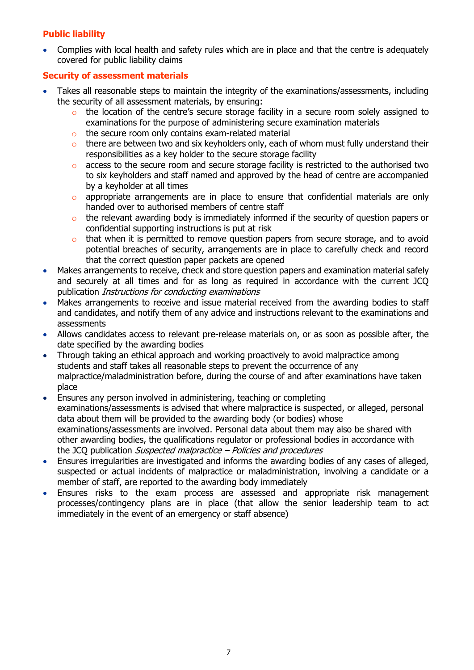## <span id="page-6-0"></span>**Public liability**

• Complies with local health and safety rules which are in place and that the centre is adequately covered for public liability claims

## <span id="page-6-1"></span>**Security of assessment materials**

- Takes all reasonable steps to maintain the integrity of the examinations/assessments, including the security of all assessment materials, by ensuring:
	- o the location of the centre's secure storage facility in a secure room solely assigned to examinations for the purpose of administering secure examination materials
	- o the secure room only contains exam-related material
	- $\circ$  there are between two and six keyholders only, each of whom must fully understand their responsibilities as a key holder to the secure storage facility
	- $\circ$  access to the secure room and secure storage facility is restricted to the authorised two to six keyholders and staff named and approved by the head of centre are accompanied by a keyholder at all times
	- o appropriate arrangements are in place to ensure that confidential materials are only handed over to authorised members of centre staff
	- o the relevant awarding body is immediately informed if the security of question papers or confidential supporting instructions is put at risk
	- o that when it is permitted to remove question papers from secure storage, and to avoid potential breaches of security, arrangements are in place to carefully check and record that the correct question paper packets are opened
- Makes arrangements to receive, check and store question papers and examination material safely and securely at all times and for as long as required in accordance with the current JCQ publication Instructions for conducting examinations
- Makes arrangements to receive and issue material received from the awarding bodies to staff and candidates, and notify them of any advice and instructions relevant to the examinations and assessments
- Allows candidates access to relevant pre-release materials on, or as soon as possible after, the date specified by the awarding bodies
- Through taking an ethical approach and working proactively to avoid malpractice among students and staff takes all reasonable steps to prevent the occurrence of any malpractice/maladministration before, during the course of and after examinations have taken place
- Ensures any person involved in administering, teaching or completing examinations/assessments is advised that where malpractice is suspected, or alleged, personal data about them will be provided to the awarding body (or bodies) whose examinations/assessments are involved. Personal data about them may also be shared with other awarding bodies, the qualifications regulator or professional bodies in accordance with the JCQ publication *Suspected malpractice – Policies and procedures*
- Ensures irregularities are investigated and informs the awarding bodies of any cases of alleged, suspected or actual incidents of malpractice or maladministration, involving a candidate or a member of staff, are reported to the awarding body immediately
- Ensures risks to the exam process are assessed and appropriate risk management processes/contingency plans are in place (that allow the senior leadership team to act immediately in the event of an emergency or staff absence)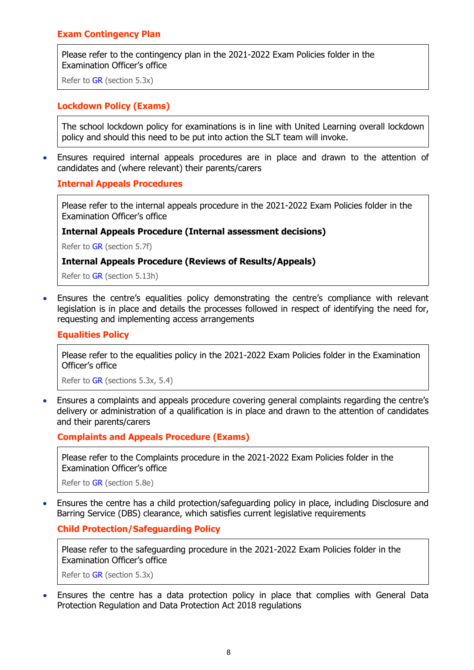## <span id="page-7-0"></span>**Exam Contingency Plan**

Please refer to the contingency plan in the 2021-2022 Exam Policies folder in the Examination Officer's office

Refer to [GR](http://www.jcq.org.uk/exams-office/general-regulations) (section 5.3x)

#### <span id="page-7-1"></span>**Lockdown Policy (Exams)**

The school lockdown policy for examinations is in line with United Learning overall lockdown policy and should this need to be put into action the SLT team will invoke.

<span id="page-7-2"></span>• Ensures required internal appeals procedures are in place and drawn to the attention of candidates and (where relevant) their parents/carers

#### **Internal Appeals Procedures**

Please refer to the internal appeals procedure in the 2021-2022 Exam Policies folder in the Examination Officer's office

#### **Internal Appeals Procedure (Internal assessment decisions)**

Refer to [GR](http://www.jcq.org.uk/exams-office/general-regulations) (section 5.7f)

#### **Internal Appeals Procedure (Reviews of Results/Appeals)**

Refer to [GR](http://www.jcq.org.uk/exams-office/general-regulations) (section 5.13h)

• Ensures the centre's equalities policy demonstrating the centre's compliance with relevant legislation is in place and details the processes followed in respect of identifying the need for, requesting and implementing access arrangements

#### <span id="page-7-3"></span>**Equalities Policy**

Please refer to the equalities policy in the 2021-2022 Exam Policies folder in the Examination Officer's office

Refer to [GR](http://www.jcq.org.uk/exams-office/general-regulations) (sections 5.3x, 5.4)

• Ensures a complaints and appeals procedure covering general complaints regarding the centre's delivery or administration of a qualification is in place and drawn to the attention of candidates and their parents/carers

<span id="page-7-4"></span>**Complaints and Appeals Procedure (Exams)**

Please refer to the Complaints procedure in the 2021-2022 Exam Policies folder in the Examination Officer's office

Refer to [GR](http://www.jcq.org.uk/exams-office/general-regulations) (section 5.8e)

<span id="page-7-5"></span>• Ensures the centre has a child protection/safeguarding policy in place, including Disclosure and Barring Service (DBS) clearance, which satisfies current legislative requirements

#### **Child Protection/Safeguarding Policy**

Please refer to the safeguarding procedure in the 2021-2022 Exam Policies folder in the Examination Officer's office

Refer to [GR](http://www.jcq.org.uk/exams-office/general-regulations) (section 5.3x)

• Ensures the centre has a data protection policy in place that complies with General Data Protection Regulation and Data Protection Act 2018 regulations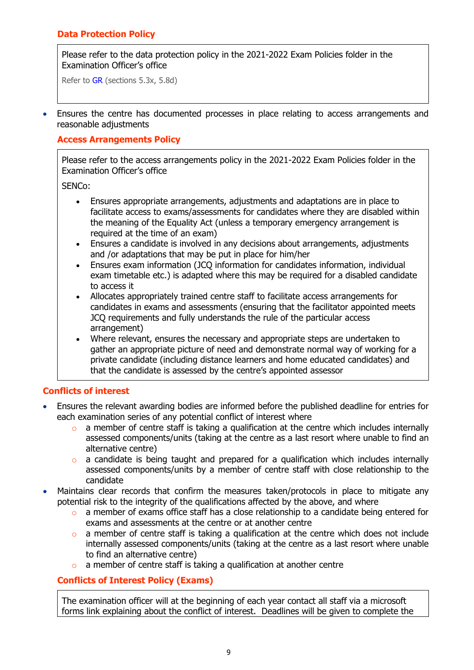## <span id="page-8-0"></span>**Data Protection Policy**

Please refer to the data protection policy in the 2021-2022 Exam Policies folder in the Examination Officer's office

Refer to [GR](http://www.jcq.org.uk/exams-office/general-regulations) (sections 5.3x, 5.8d)

<span id="page-8-1"></span>• Ensures the centre has documented processes in place relating to access arrangements and reasonable adjustments

#### **Access Arrangements Policy**

Please refer to the access arrangements policy in the 2021-2022 Exam Policies folder in the Examination Officer's office

SENCo:

- Ensures appropriate arrangements, adjustments and adaptations are in place to facilitate access to exams/assessments for candidates where they are disabled within the meaning of the Equality Act (unless a temporary emergency arrangement is required at the time of an exam)
- Ensures a candidate is involved in any decisions about arrangements, adjustments and /or adaptations that may be put in place for him/her
- Ensures exam information (JCQ information for candidates information, individual exam timetable etc.) is adapted where this may be required for a disabled candidate to access it
- Allocates appropriately trained centre staff to facilitate access arrangements for candidates in exams and assessments (ensuring that the facilitator appointed meets JCQ requirements and fully understands the rule of the particular access arrangement)
- Where relevant, ensures the necessary and appropriate steps are undertaken to gather an appropriate picture of need and demonstrate normal way of working for a private candidate (including distance learners and home educated candidates) and that the candidate is assessed by the centre's appointed assessor

## <span id="page-8-2"></span>**Conflicts of interest**

- Ensures the relevant awarding bodies are informed before the published deadline for entries for each examination series of any potential conflict of interest where
	- $\circ$  a member of centre staff is taking a qualification at the centre which includes internally assessed components/units (taking at the centre as a last resort where unable to find an alternative centre)
	- o a candidate is being taught and prepared for a qualification which includes internally assessed components/units by a member of centre staff with close relationship to the candidate
- Maintains clear records that confirm the measures taken/protocols in place to mitigate any potential risk to the integrity of the qualifications affected by the above, and where
	- o a member of exams office staff has a close relationship to a candidate being entered for exams and assessments at the centre or at another centre
	- $\circ$  a member of centre staff is taking a qualification at the centre which does not include internally assessed components/units (taking at the centre as a last resort where unable to find an alternative centre)
	- a member of centre staff is taking a qualification at another centre

## <span id="page-8-3"></span>**Conflicts of Interest Policy (Exams)**

The examination officer will at the beginning of each year contact all staff via a microsoft forms link explaining about the conflict of interest. Deadlines will be given to complete the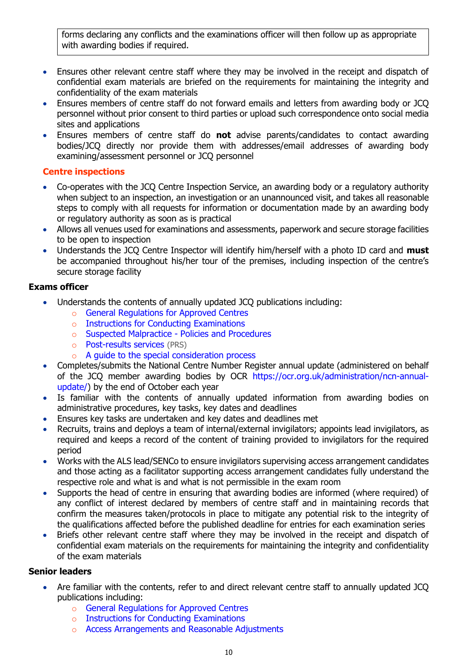forms declaring any conflicts and the examinations officer will then follow up as appropriate with awarding bodies if required.

- Ensures other relevant centre staff where they may be involved in the receipt and dispatch of confidential exam materials are briefed on the requirements for maintaining the integrity and confidentiality of the exam materials
- Ensures members of centre staff do not forward emails and letters from awarding body or JCQ personnel without prior consent to third parties or upload such correspondence onto social media sites and applications
- Ensures members of centre staff do **not** advise parents/candidates to contact awarding bodies/JCQ directly nor provide them with addresses/email addresses of awarding body examining/assessment personnel or JCQ personnel

## <span id="page-9-0"></span>**Centre inspections**

- Co-operates with the JCQ Centre Inspection Service, an awarding body or a regulatory authority when subject to an inspection, an investigation or an unannounced visit, and takes all reasonable steps to comply with all requests for information or documentation made by an awarding body or regulatory authority as soon as is practical
- Allows all venues used for examinations and assessments, paperwork and secure storage facilities to be open to inspection
- Understands the JCQ Centre Inspector will identify him/herself with a photo ID card and **must**  be accompanied throughout his/her tour of the premises, including inspection of the centre's secure storage facility

## **Exams officer**

- Understands the contents of annually updated JCQ publications including:
	- o [General Regulations for Approved Centres](http://www.jcq.org.uk/exams-office/general-regulations)
	- o [Instructions for Conducting Examinations](http://www.jcq.org.uk/exams-office/ice---instructions-for-conducting-examinations)
	- o [Suspected Malpractice -](http://www.jcq.org.uk/exams-office/malpractice) Policies and Procedures
	- o [Post-results services](http://www.jcq.org.uk/exams-office/post-results-services) (PRS)
	- o [A guide to the special consideration process](https://www.jcq.org.uk/exams-office/access-arrangements-and-special-consideration/regulations-and-guidance/)
- Completes/submits the National Centre Number Register annual update (administered on behalf of the JCQ member awarding bodies by OCR [https://ocr.org.uk/administration/ncn-annual](https://ocr.org.uk/administration/ncn-annual-update/)[update/\)](https://ocr.org.uk/administration/ncn-annual-update/) by the end of October each year
- Is familiar with the contents of annually updated information from awarding bodies on administrative procedures, key tasks, key dates and deadlines
- Ensures key tasks are undertaken and key dates and deadlines met
- Recruits, trains and deploys a team of internal/external invigilators; appoints lead invigilators, as required and keeps a record of the content of training provided to invigilators for the required period
- Works with the ALS lead/SENCo to ensure invigilators supervising access arrangement candidates and those acting as a facilitator supporting access arrangement candidates fully understand the respective role and what is and what is not permissible in the exam room
- Supports the head of centre in ensuring that awarding bodies are informed (where required) of any conflict of interest declared by members of centre staff and in maintaining records that confirm the measures taken/protocols in place to mitigate any potential risk to the integrity of the qualifications affected before the published deadline for entries for each examination series
- Briefs other relevant centre staff where they may be involved in the receipt and dispatch of confidential exam materials on the requirements for maintaining the integrity and confidentiality of the exam materials

## **Senior leaders**

- Are familiar with the contents, refer to and direct relevant centre staff to annually updated JCQ publications including:
	- o [General Regulations for Approved Centres](http://www.jcq.org.uk/exams-office/general-regulations)
	- o [Instructions for Conducting Examinations](http://www.jcq.org.uk/exams-office/ice---instructions-for-conducting-examinations)
	- o [Access Arrangements and Reasonable Adjustments](http://www.jcq.org.uk/exams-office/access-arrangements-and-special-consideration/regulations-and-guidance)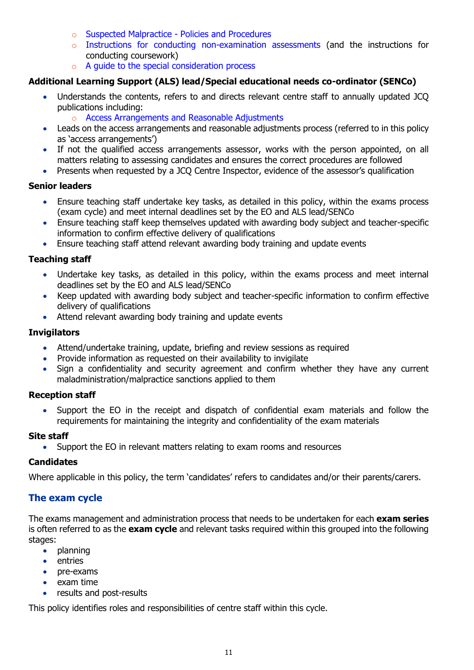- o [Suspected Malpractice -](http://www.jcq.org.uk/exams-office/malpractice) Policies and Procedures
- o [Instructions for conducting non-examination assessments](http://www.jcq.org.uk/exams-office/non-examination-assessments) (and the instructions for conducting coursework)
- o [A guide to the special consideration process](http://www.jcq.org.uk/exams-office/access-arrangements-and-special-consideration/regulations-and-guidance)

## **Additional Learning Support (ALS) lead/Special educational needs co-ordinator (SENCo)**

- Understands the contents, refers to and directs relevant centre staff to annually updated JCQ publications including:
	- o [Access Arrangements and Reasonable Adjustments](http://www.jcq.org.uk/exams-office/access-arrangements-and-special-consideration/regulations-and-guidance)
- Leads on the access arrangements and reasonable adjustments process (referred to in this policy as 'access arrangements')
- If not the qualified access arrangements assessor, works with the person appointed, on all matters relating to assessing candidates and ensures the correct procedures are followed
- Presents when requested by a JCQ Centre Inspector, evidence of the assessor's qualification

## **Senior leaders**

- Ensure teaching staff undertake key tasks, as detailed in this policy, within the exams process (exam cycle) and meet internal deadlines set by the EO and ALS lead/SENCo
- Ensure teaching staff keep themselves updated with awarding body subject and teacher-specific information to confirm effective delivery of qualifications
- Ensure teaching staff attend relevant awarding body training and update events

## **Teaching staff**

- Undertake key tasks, as detailed in this policy, within the exams process and meet internal deadlines set by the EO and ALS lead/SENCo
- Keep updated with awarding body subject and teacher-specific information to confirm effective delivery of qualifications
- Attend relevant awarding body training and update events

## **Invigilators**

- Attend/undertake training, update, briefing and review sessions as required
- Provide information as requested on their availability to invigilate
- Sign a confidentiality and security agreement and confirm whether they have any current maladministration/malpractice sanctions applied to them

## **Reception staff**

• Support the EO in the receipt and dispatch of confidential exam materials and follow the requirements for maintaining the integrity and confidentiality of the exam materials

## **Site staff**

• Support the EO in relevant matters relating to exam rooms and resources

## **Candidates**

<span id="page-10-0"></span>Where applicable in this policy, the term 'candidates' refers to candidates and/or their parents/carers.

## **The exam cycle**

The exams management and administration process that needs to be undertaken for each **exam series** is often referred to as the **exam cycle** and relevant tasks required within this grouped into the following stages:

- planning
- entries
- pre-exams
- exam time
- results and post-results

This policy identifies roles and responsibilities of centre staff within this cycle.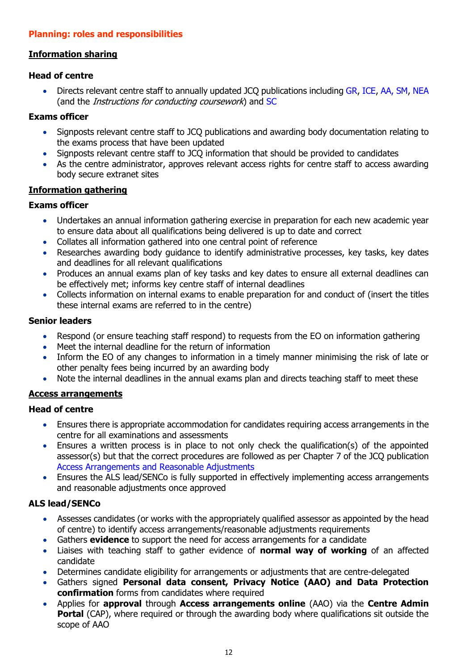## <span id="page-11-0"></span>**Planning: roles and responsibilities**

## <span id="page-11-1"></span>**Information sharing**

#### **Head of centre**

• Directs relevant centre staff to annually updated JCQ publications including [GR,](http://www.jcq.org.uk/exams-office/general-regulations) [ICE,](http://www.jcq.org.uk/exams-office/ice---instructions-for-conducting-examinations) [AA,](http://www.jcq.org.uk/exams-office/access-arrangements-and-special-consideration) [SM,](http://www.jcq.org.uk/exams-office/malpractice) [NEA](http://www.jcq.org.uk/exams-office/non-examination-assessments) (and the Instructions for conducting coursework) and [SC](http://www.jcq.org.uk/exams-office/access-arrangements-and-special-consideration/regulations-and-guidance)

#### **Exams officer**

- Signposts relevant centre staff to JCQ publications and awarding body documentation relating to the exams process that have been updated
- Signposts relevant centre staff to JCQ information that should be provided to candidates
- As the centre administrator, approves relevant access rights for centre staff to access awarding body secure extranet sites

#### <span id="page-11-2"></span>**Information gathering**

#### **Exams officer**

- Undertakes an annual information gathering exercise in preparation for each new academic year to ensure data about all qualifications being delivered is up to date and correct
- Collates all information gathered into one central point of reference
- Researches awarding body guidance to identify administrative processes, key tasks, key dates and deadlines for all relevant qualifications
- Produces an annual exams plan of key tasks and key dates to ensure all external deadlines can be effectively met; informs key centre staff of internal deadlines
- Collects information on internal exams to enable preparation for and conduct of (insert the titles these internal exams are referred to in the centre)

#### **Senior leaders**

- Respond (or ensure teaching staff respond) to requests from the EO on information gathering
- Meet the internal deadline for the return of information
- Inform the EO of any changes to information in a timely manner minimising the risk of late or other penalty fees being incurred by an awarding body
- Note the internal deadlines in the annual exams plan and directs teaching staff to meet these

## <span id="page-11-3"></span>**Access arrangements**

## **Head of centre**

- Ensures there is appropriate accommodation for candidates requiring access arrangements in the centre for all examinations and assessments
- Ensures a written process is in place to not only check the qualification(s) of the appointed assessor(s) but that the correct procedures are followed as per Chapter 7 of the JCQ publication [Access Arrangements and Reasonable Adjustments](http://www.jcq.org.uk/exams-office/access-arrangements-and-special-consideration/regulations-and-guidance)
- Ensures the ALS lead/SENCo is fully supported in effectively implementing access arrangements and reasonable adjustments once approved

## **ALS lead/SENCo**

- Assesses candidates (or works with the appropriately qualified assessor as appointed by the head of centre) to identify access arrangements/reasonable adjustments requirements
- Gathers **evidence** to support the need for access arrangements for a candidate
- Liaises with teaching staff to gather evidence of **normal way of working** of an affected candidate
- Determines candidate eligibility for arrangements or adjustments that are centre-delegated
- Gathers signed **Personal data consent, Privacy Notice (AAO) and Data Protection confirmation** forms from candidates where required
- Applies for **approval** through **Access arrangements online** (AAO) via the **Centre Admin Portal** (CAP), where required or through the awarding body where qualifications sit outside the scope of AAO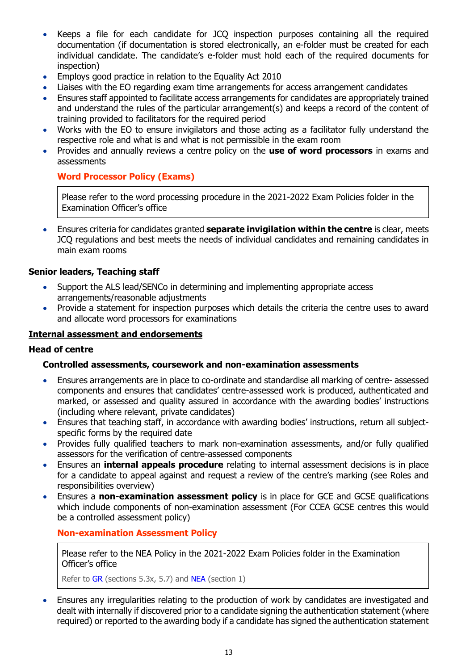- Keeps a file for each candidate for JCQ inspection purposes containing all the required documentation (if documentation is stored electronically, an e-folder must be created for each individual candidate. The candidate's e-folder must hold each of the required documents for inspection)
- Employs good practice in relation to the Equality Act 2010
- Liaises with the EO regarding exam time arrangements for access arrangement candidates
- Ensures staff appointed to facilitate access arrangements for candidates are appropriately trained and understand the rules of the particular arrangement(s) and keeps a record of the content of training provided to facilitators for the required period
- Works with the EO to ensure invigilators and those acting as a facilitator fully understand the respective role and what is and what is not permissible in the exam room
- Provides and annually reviews a centre policy on the **use of word processors** in exams and assessments

## <span id="page-12-0"></span>**Word Processor Policy (Exams)**

Please refer to the word processing procedure in the 2021-2022 Exam Policies folder in the Examination Officer's office

• Ensures criteria for candidates granted **separate invigilation within the centre** is clear, meets JCQ regulations and best meets the needs of individual candidates and remaining candidates in main exam rooms

#### **Senior leaders, Teaching staff**

- Support the ALS lead/SENCo in determining and implementing appropriate access arrangements/reasonable adjustments
- Provide a statement for inspection purposes which details the criteria the centre uses to award and allocate word processors for examinations

#### <span id="page-12-1"></span>**Internal assessment and endorsements**

#### **Head of centre**

#### **Controlled assessments, coursework and non-examination assessments**

- Ensures arrangements are in place to co-ordinate and standardise all marking of centre- assessed components and ensures that candidates' centre-assessed work is produced, authenticated and marked, or assessed and quality assured in accordance with the awarding bodies' instructions (including where relevant, private candidates)
- Ensures that teaching staff, in accordance with awarding bodies' instructions, return all subjectspecific forms by the required date
- Provides fully qualified teachers to mark non-examination assessments, and/or fully qualified assessors for the verification of centre-assessed components
- Ensures an **internal appeals procedure** relating to internal assessment decisions is in place for a candidate to appeal against and request a review of the centre's marking (see Roles and responsibilities overview)
- Ensures a **non-examination assessment policy** is in place for GCE and GCSE qualifications which include components of non-examination assessment (For CCEA GCSE centres this would be a controlled assessment policy)

#### <span id="page-12-2"></span>**Non-examination Assessment Policy**

Please refer to the NEA Policy in the 2021-2022 Exam Policies folder in the Examination Officer's office

Refer to [GR](http://www.jcq.org.uk/exams-office/general-regulations) (sections 5.3x, 5.7) and [NEA](https://www.jcq.org.uk/exams-office/non-examination-assessments) (section 1)

• Ensures any irregularities relating to the production of work by candidates are investigated and dealt with internally if discovered prior to a candidate signing the authentication statement (where required) or reported to the awarding body if a candidate has signed the authentication statement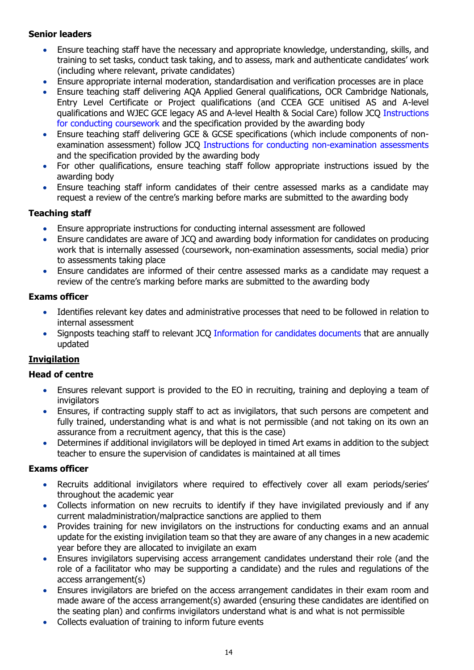## **Senior leaders**

- Ensure teaching staff have the necessary and appropriate knowledge, understanding, skills, and training to set tasks, conduct task taking, and to assess, mark and authenticate candidates' work (including where relevant, private candidates)
- Ensure appropriate internal moderation, standardisation and verification processes are in place
- Ensure teaching staff delivering AQA Applied General qualifications, OCR Cambridge Nationals, Entry Level Certificate or Project qualifications (and CCEA GCE unitised AS and A-level qualifications and WJEC GCE legacy AS and A-level Health & Social Care) follow JCQ [Instructions](http://www.jcq.org.uk/exams-office/coursework)  [for conducting coursework](http://www.jcq.org.uk/exams-office/coursework) and the specification provided by the awarding body
- Ensure teaching staff delivering GCE & GCSE specifications (which include components of nonexamination assessment) follow JCQ [Instructions for conducting non-examination assessments](http://www.jcq.org.uk/exams-office/non-examination-assessments) and the specification provided by the awarding body
- For other qualifications, ensure teaching staff follow appropriate instructions issued by the awarding body
- Ensure teaching staff inform candidates of their centre assessed marks as a candidate may request a review of the centre's marking before marks are submitted to the awarding body

## **Teaching staff**

- Ensure appropriate instructions for conducting internal assessment are followed
- Ensure candidates are aware of JCQ and awarding body information for candidates on producing work that is internally assessed (coursework, non-examination assessments, social media) prior to assessments taking place
- Ensure candidates are informed of their centre assessed marks as a candidate may request a review of the centre's marking before marks are submitted to the awarding body

## **Exams officer**

- Identifies relevant key dates and administrative processes that need to be followed in relation to internal assessment
- Signposts teaching staff to relevant JCQ [Information for candidates documents](https://www.jcq.org.uk/exams-office/information-for-candidates-documents/) that are annually updated

## <span id="page-13-0"></span>**Invigilation**

## **Head of centre**

- Ensures relevant support is provided to the EO in recruiting, training and deploying a team of invigilators
- Ensures, if contracting supply staff to act as invigilators, that such persons are competent and fully trained, understanding what is and what is not permissible (and not taking on its own an assurance from a recruitment agency, that this is the case)
- Determines if additional invigilators will be deployed in timed Art exams in addition to the subject teacher to ensure the supervision of candidates is maintained at all times

## **Exams officer**

- Recruits additional invigilators where required to effectively cover all exam periods/series' throughout the academic year
- Collects information on new recruits to identify if they have invigilated previously and if any current maladministration/malpractice sanctions are applied to them
- Provides training for new invigilators on the instructions for conducting exams and an annual update for the existing invigilation team so that they are aware of any changes in a new academic year before they are allocated to invigilate an exam
- Ensures invigilators supervising access arrangement candidates understand their role (and the role of a facilitator who may be supporting a candidate) and the rules and regulations of the access arrangement(s)
- Ensures invigilators are briefed on the access arrangement candidates in their exam room and made aware of the access arrangement(s) awarded (ensuring these candidates are identified on the seating plan) and confirms invigilators understand what is and what is not permissible
- Collects evaluation of training to inform future events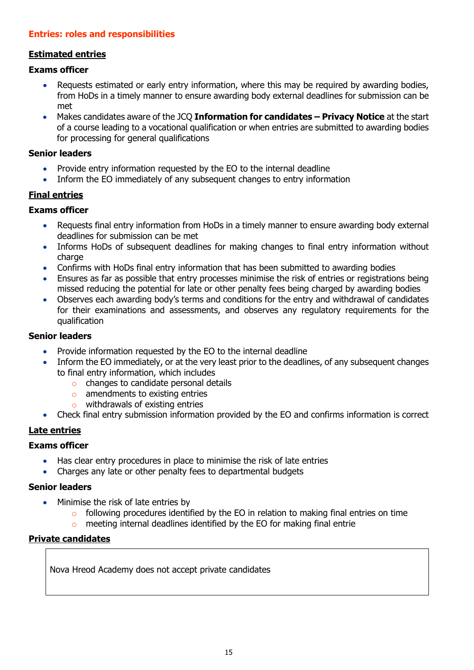## <span id="page-14-0"></span>**Entries: roles and responsibilities**

## <span id="page-14-1"></span>**Estimated entries**

#### **Exams officer**

- Requests estimated or early entry information, where this may be required by awarding bodies, from HoDs in a timely manner to ensure awarding body external deadlines for submission can be met
- Makes candidates aware of the JCQ **Information for candidates – Privacy Notice** at the start of a course leading to a vocational qualification or when entries are submitted to awarding bodies for processing for general qualifications

#### **Senior leaders**

- Provide entry information requested by the EO to the internal deadline
- Inform the EO immediately of any subsequent changes to entry information

#### <span id="page-14-2"></span>**Final entries**

#### **Exams officer**

- Requests final entry information from HoDs in a timely manner to ensure awarding body external deadlines for submission can be met
- Informs HoDs of subsequent deadlines for making changes to final entry information without charge
- Confirms with HoDs final entry information that has been submitted to awarding bodies
- Ensures as far as possible that entry processes minimise the risk of entries or registrations being missed reducing the potential for late or other penalty fees being charged by awarding bodies
- Observes each awarding body's terms and conditions for the entry and withdrawal of candidates for their examinations and assessments, and observes any regulatory requirements for the qualification

#### **Senior leaders**

- Provide information requested by the EO to the internal deadline
- Inform the EO immediately, or at the very least prior to the deadlines, of any subsequent changes to final entry information, which includes
	- o changes to candidate personal details
	- o amendments to existing entries
	- o withdrawals of existing entries
- Check final entry submission information provided by the EO and confirms information is correct

## <span id="page-14-3"></span>**Late entries**

#### **Exams officer**

- Has clear entry procedures in place to minimise the risk of late entries
- Charges any late or other penalty fees to departmental budgets

#### **Senior leaders**

- Minimise the risk of late entries by
	- $\circ$  following procedures identified by the EO in relation to making final entries on time
	- o meeting internal deadlines identified by the EO for making final entrie

#### <span id="page-14-4"></span>**Private candidates**

Nova Hreod Academy does not accept private candidates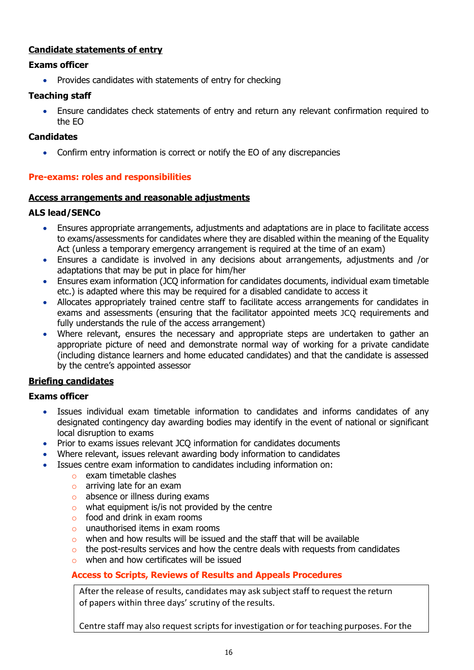## <span id="page-15-0"></span>**Candidate statements of entry**

## **Exams officer**

• Provides candidates with statements of entry for checking

## **Teaching staff**

• Ensure candidates check statements of entry and return any relevant confirmation required to the EO

## **Candidates**

• Confirm entry information is correct or notify the EO of any discrepancies

## <span id="page-15-1"></span>**Pre-exams: roles and responsibilities**

## <span id="page-15-2"></span>**Access arrangements and reasonable adjustments**

## **ALS lead/SENCo**

- Ensures appropriate arrangements, adjustments and adaptations are in place to facilitate access to exams/assessments for candidates where they are disabled within the meaning of the Equality Act (unless a temporary emergency arrangement is required at the time of an exam)
- Ensures a candidate is involved in any decisions about arrangements, adjustments and /or adaptations that may be put in place for him/her
- Ensures exam information (JCQ information for candidates documents, individual exam timetable etc.) is adapted where this may be required for a disabled candidate to access it
- Allocates appropriately trained centre staff to facilitate access arrangements for candidates in exams and assessments (ensuring that the facilitator appointed meets JCQ requirements and fully understands the rule of the access arrangement)
- Where relevant, ensures the necessary and appropriate steps are undertaken to gather an appropriate picture of need and demonstrate normal way of working for a private candidate (including distance learners and home educated candidates) and that the candidate is assessed by the centre's appointed assessor

## <span id="page-15-3"></span>**Briefing candidates**

## **Exams officer**

- Issues individual exam timetable information to candidates and informs candidates of any designated contingency day awarding bodies may identify in the event of national or significant local disruption to exams
- Prior to exams issues relevant JCQ information for candidates documents
- Where relevant, issues relevant awarding body information to candidates
- Issues centre exam information to candidates including information on:
	- o exam timetable clashes
	- o arriving late for an exam
	- o absence or illness during exams
	- $\circ$  what equipment is/is not provided by the centre
	- $\circ$  food and drink in exam rooms
	- o unauthorised items in exam rooms
	- o when and how results will be issued and the staff that will be available
	- $\circ$  the post-results services and how the centre deals with requests from candidates
	- o when and how certificates will be issued

## <span id="page-15-4"></span>**Access to Scripts, Reviews of Results and Appeals Procedures**

After the release of results, candidates may ask subject staff to request the return of papers within three days' scrutiny of the results.

Centre staff may also request scripts for investigation or for teaching purposes. For the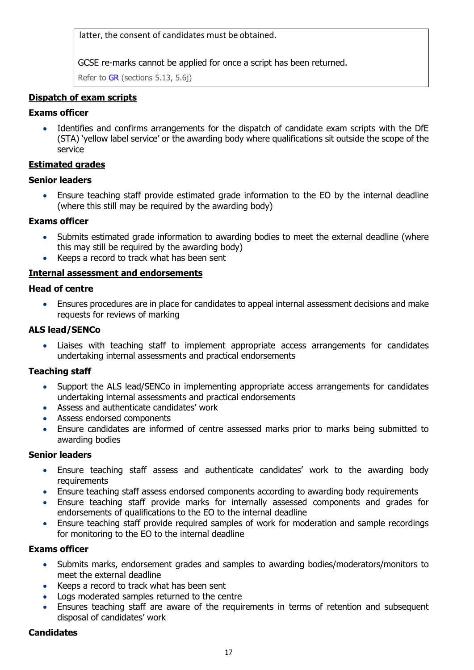latter, the consent of candidates must be obtained.

GCSE re-marks cannot be applied for once a script has been returned.

Refer to [GR](http://www.jcq.org.uk/exams-office/general-regulations) (sections 5.13, 5.6j)

## <span id="page-16-0"></span>**Dispatch of exam scripts**

## **Exams officer**

Identifies and confirms arrangements for the dispatch of candidate exam scripts with the DfE (STA) 'yellow label service' or the awarding body where qualifications sit outside the scope of the service

#### <span id="page-16-1"></span>**Estimated grades**

#### **Senior leaders**

• Ensure teaching staff provide estimated grade information to the EO by the internal deadline (where this still may be required by the awarding body)

#### **Exams officer**

- Submits estimated grade information to awarding bodies to meet the external deadline (where this may still be required by the awarding body)
- Keeps a record to track what has been sent

#### <span id="page-16-2"></span>**Internal assessment and endorsements**

#### **Head of centre**

• Ensures procedures are in place for candidates to appeal internal assessment decisions and make requests for reviews of marking

#### **ALS lead/SENCo**

• Liaises with teaching staff to implement appropriate access arrangements for candidates undertaking internal assessments and practical endorsements

#### **Teaching staff**

- Support the ALS lead/SENCo in implementing appropriate access arrangements for candidates undertaking internal assessments and practical endorsements
- Assess and authenticate candidates' work
- Assess endorsed components
- Ensure candidates are informed of centre assessed marks prior to marks being submitted to awarding bodies

#### **Senior leaders**

- Ensure teaching staff assess and authenticate candidates' work to the awarding body requirements
- Ensure teaching staff assess endorsed components according to awarding body requirements
- Ensure teaching staff provide marks for internally assessed components and grades for endorsements of qualifications to the EO to the internal deadline
- Ensure teaching staff provide required samples of work for moderation and sample recordings for monitoring to the EO to the internal deadline

#### **Exams officer**

- Submits marks, endorsement grades and samples to awarding bodies/moderators/monitors to meet the external deadline
- Keeps a record to track what has been sent
- Logs moderated samples returned to the centre
- Ensures teaching staff are aware of the requirements in terms of retention and subsequent disposal of candidates' work

#### **Candidates**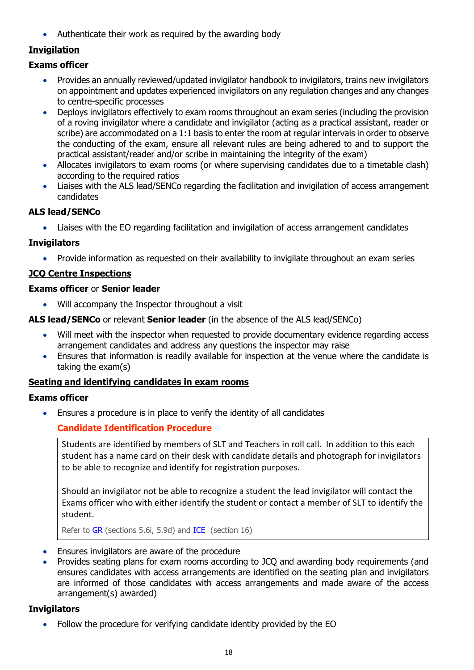• Authenticate their work as required by the awarding body

## <span id="page-17-0"></span>**Invigilation**

## **Exams officer**

- Provides an annually reviewed/updated invigilator handbook to invigilators, trains new invigilators on appointment and updates experienced invigilators on any regulation changes and any changes to centre-specific processes
- Deploys invigilators effectively to exam rooms throughout an exam series (including the provision of a roving invigilator where a candidate and invigilator (acting as a practical assistant, reader or scribe) are accommodated on a 1:1 basis to enter the room at regular intervals in order to observe the conducting of the exam, ensure all relevant rules are being adhered to and to support the practical assistant/reader and/or scribe in maintaining the integrity of the exam)
- Allocates invigilators to exam rooms (or where supervising candidates due to a timetable clash) according to the required ratios
- Liaises with the ALS lead/SENCo regarding the facilitation and invigilation of access arrangement candidates

## **ALS lead/SENCo**

• Liaises with the EO regarding facilitation and invigilation of access arrangement candidates

## **Invigilators**

• Provide information as requested on their availability to invigilate throughout an exam series

## <span id="page-17-1"></span>**JCQ Centre Inspections**

#### **Exams officer** or **Senior leader**

- Will accompany the Inspector throughout a visit
- **ALS lead/SENCo** or relevant **Senior leader** (in the absence of the ALS lead/SENCo)
	- Will meet with the inspector when requested to provide documentary evidence regarding access arrangement candidates and address any questions the inspector may raise
	- Ensures that information is readily available for inspection at the venue where the candidate is taking the exam(s)

## <span id="page-17-2"></span>**Seating and identifying candidates in exam rooms**

## **Exams officer**

<span id="page-17-3"></span>• Ensures a procedure is in place to verify the identity of all candidates

## **Candidate Identification Procedure**

Students are identified by members of SLT and Teachers in roll call. In addition to this each student has a name card on their desk with candidate details and photograph for invigilators to be able to recognize and identify for registration purposes.

Should an invigilator not be able to recognize a student the lead invigilator will contact the Exams officer who with either identify the student or contact a member of SLT to identify the student.

Refer to [GR](http://www.jcq.org.uk/exams-office/general-regulations) (sections 5.6i, 5.9d) and [ICE](http://www.jcq.org.uk/exams-office/ice---instructions-for-conducting-examinations) (section 16)

- Ensures invigilators are aware of the procedure
- Provides seating plans for exam rooms according to JCQ and awarding body requirements (and ensures candidates with access arrangements are identified on the seating plan and invigilators are informed of those candidates with access arrangements and made aware of the access arrangement(s) awarded)

## **Invigilators**

• Follow the procedure for verifying candidate identity provided by the EO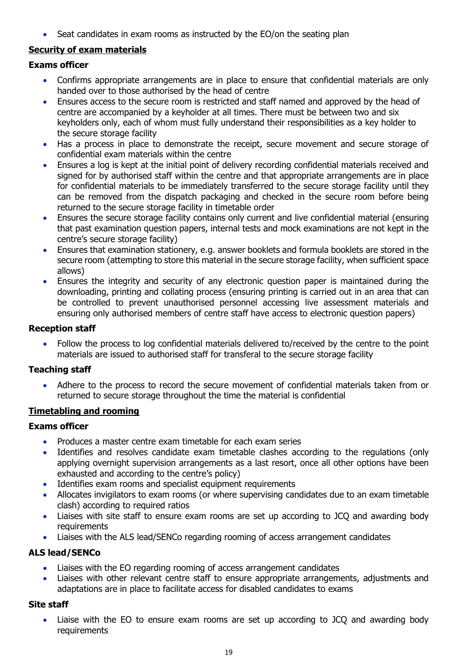• Seat candidates in exam rooms as instructed by the EO/on the seating plan

## <span id="page-18-0"></span>**Security of exam materials**

## **Exams officer**

- Confirms appropriate arrangements are in place to ensure that confidential materials are only handed over to those authorised by the head of centre
- Ensures access to the secure room is restricted and staff named and approved by the head of centre are accompanied by a keyholder at all times. There must be between two and six keyholders only, each of whom must fully understand their responsibilities as a key holder to the secure storage facility
- Has a process in place to demonstrate the receipt, secure movement and secure storage of confidential exam materials within the centre
- Ensures a log is kept at the initial point of delivery recording confidential materials received and signed for by authorised staff within the centre and that appropriate arrangements are in place for confidential materials to be immediately transferred to the secure storage facility until they can be removed from the dispatch packaging and checked in the secure room before being returned to the secure storage facility in timetable order
- Ensures the secure storage facility contains only current and live confidential material (ensuring that past examination question papers, internal tests and mock examinations are not kept in the centre's secure storage facility)
- Ensures that examination stationery, e.g. answer booklets and formula booklets are stored in the secure room (attempting to store this material in the secure storage facility, when sufficient space allows)
- Ensures the integrity and security of any electronic question paper is maintained during the downloading, printing and collating process (ensuring printing is carried out in an area that can be controlled to prevent unauthorised personnel accessing live assessment materials and ensuring only authorised members of centre staff have access to electronic question papers)

## **Reception staff**

• Follow the process to log confidential materials delivered to/received by the centre to the point materials are issued to authorised staff for transferal to the secure storage facility

## **Teaching staff**

• Adhere to the process to record the secure movement of confidential materials taken from or returned to secure storage throughout the time the material is confidential

## <span id="page-18-1"></span>**Timetabling and rooming**

## **Exams officer**

- Produces a master centre exam timetable for each exam series
- Identifies and resolves candidate exam timetable clashes according to the regulations (only applying overnight supervision arrangements as a last resort, once all other options have been exhausted and according to the centre's policy)
- Identifies exam rooms and specialist equipment requirements
- Allocates invigilators to exam rooms (or where supervising candidates due to an exam timetable clash) according to required ratios
- Liaises with site staff to ensure exam rooms are set up according to JCQ and awarding body requirements
- Liaises with the ALS lead/SENCo regarding rooming of access arrangement candidates

## **ALS lead/SENCo**

- Liaises with the EO regarding rooming of access arrangement candidates
- Liaises with other relevant centre staff to ensure appropriate arrangements, adjustments and adaptations are in place to facilitate access for disabled candidates to exams

## **Site staff**

Liaise with the EO to ensure exam rooms are set up according to JCQ and awarding body requirements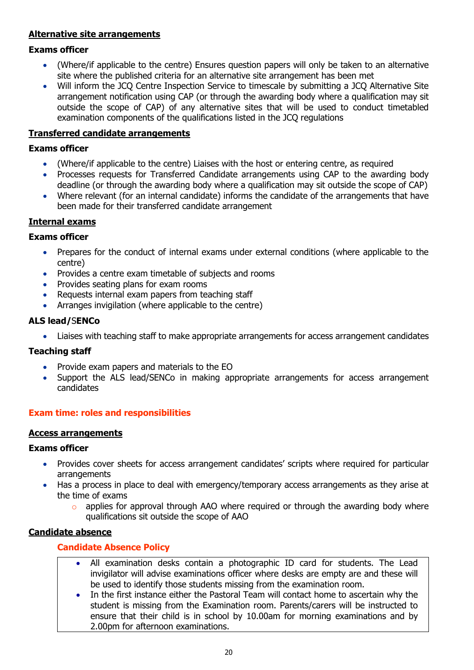## <span id="page-19-0"></span>**Alternative site arrangements**

#### **Exams officer**

- (Where/if applicable to the centre) Ensures question papers will only be taken to an alternative site where the published criteria for an alternative site arrangement has been met
- Will inform the JCQ Centre Inspection Service to timescale by submitting a JCQ Alternative Site arrangement notification using CAP (or through the awarding body where a qualification may sit outside the scope of CAP) of any alternative sites that will be used to conduct timetabled examination components of the qualifications listed in the JCQ regulations

#### <span id="page-19-1"></span>**Transferred candidate arrangements**

#### **Exams officer**

- (Where/if applicable to the centre) Liaises with the host or entering centre, as required
- Processes requests for Transferred Candidate arrangements using CAP to the awarding body deadline (or through the awarding body where a qualification may sit outside the scope of CAP)
- Where relevant (for an internal candidate) informs the candidate of the arrangements that have been made for their transferred candidate arrangement

## <span id="page-19-2"></span>**Internal exams**

#### **Exams officer**

- Prepares for the conduct of internal exams under external conditions (where applicable to the centre)
- Provides a centre exam timetable of subjects and rooms
- Provides seating plans for exam rooms
- Requests internal exam papers from teaching staff
- Arranges invigilation (where applicable to the centre)

#### **ALS lead/**S**ENCo**

• Liaises with teaching staff to make appropriate arrangements for access arrangement candidates

#### **Teaching staff**

- Provide exam papers and materials to the EO
- Support the ALS lead/SENCo in making appropriate arrangements for access arrangement candidates

## <span id="page-19-3"></span>**Exam time: roles and responsibilities**

#### <span id="page-19-4"></span>**Access arrangements**

#### **Exams officer**

- Provides cover sheets for access arrangement candidates' scripts where required for particular arrangements
- Has a process in place to deal with emergency/temporary access arrangements as they arise at the time of exams
	- $\circ$  applies for approval through AAO where required or through the awarding body where qualifications sit outside the scope of AAO

## <span id="page-19-6"></span><span id="page-19-5"></span>**Candidate absence**

#### **Candidate Absence Policy**

- All examination desks contain a photographic ID card for students. The Lead invigilator will advise examinations officer where desks are empty are and these will be used to identify those students missing from the examination room.
- In the first instance either the Pastoral Team will contact home to ascertain why the student is missing from the Examination room. Parents/carers will be instructed to ensure that their child is in school by 10.00am for morning examinations and by 2.00pm for afternoon examinations.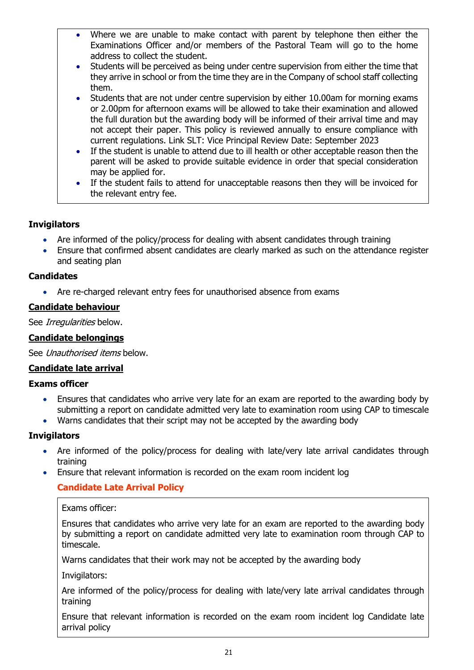- Where we are unable to make contact with parent by telephone then either the Examinations Officer and/or members of the Pastoral Team will go to the home address to collect the student.
- Students will be perceived as being under centre supervision from either the time that they arrive in school or from the time they are in the Company of school staff collecting them.
- Students that are not under centre supervision by either 10.00am for morning exams or 2.00pm for afternoon exams will be allowed to take their examination and allowed the full duration but the awarding body will be informed of their arrival time and may not accept their paper. This policy is reviewed annually to ensure compliance with current regulations. Link SLT: Vice Principal Review Date: September 2023
- If the student is unable to attend due to ill health or other acceptable reason then the parent will be asked to provide suitable evidence in order that special consideration may be applied for.
- If the student fails to attend for unacceptable reasons then they will be invoiced for the relevant entry fee.

## **Invigilators**

- Are informed of the policy/process for dealing with absent candidates through training
- Ensure that confirmed absent candidates are clearly marked as such on the attendance register and seating plan

## **Candidates**

• Are re-charged relevant entry fees for unauthorised absence from exams

## <span id="page-20-0"></span>**Candidate behaviour**

See Irregularities below.

## <span id="page-20-1"></span>**Candidate belongings**

See Unauthorised items below.

## <span id="page-20-2"></span>**Candidate late arrival**

#### **Exams officer**

- Ensures that candidates who arrive very late for an exam are reported to the awarding body by submitting a report on candidate admitted very late to examination room using CAP to timescale
- Warns candidates that their script may not be accepted by the awarding body

#### **Invigilators**

- Are informed of the policy/process for dealing with late/very late arrival candidates through training
- <span id="page-20-3"></span>• Ensure that relevant information is recorded on the exam room incident log

## **Candidate Late Arrival Policy**

Exams officer:

Ensures that candidates who arrive very late for an exam are reported to the awarding body by submitting a report on candidate admitted very late to examination room through CAP to timescale.

Warns candidates that their work may not be accepted by the awarding body

Invigilators:

Are informed of the policy/process for dealing with late/very late arrival candidates through training

Ensure that relevant information is recorded on the exam room incident log Candidate late arrival policy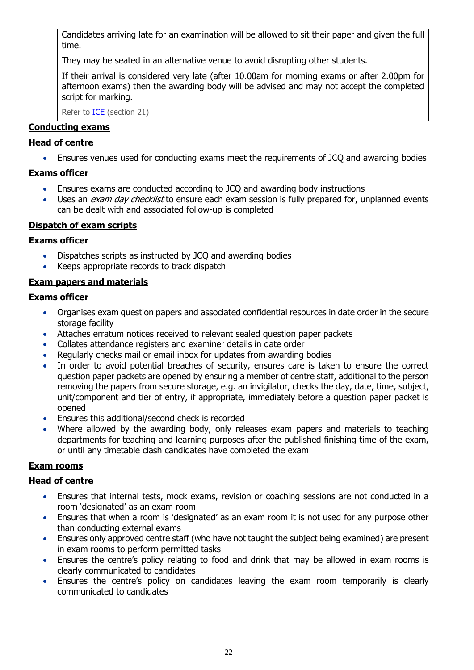Candidates arriving late for an examination will be allowed to sit their paper and given the full time.

They may be seated in an alternative venue to avoid disrupting other students.

If their arrival is considered very late (after 10.00am for morning exams or after 2.00pm for afternoon exams) then the awarding body will be advised and may not accept the completed script for marking.

Refer to [ICE](http://www.jcq.org.uk/exams-office/ice---instructions-for-conducting-examinations) (section 21)

#### <span id="page-21-0"></span>**Conducting exams**

#### **Head of centre**

• Ensures venues used for conducting exams meet the requirements of JCQ and awarding bodies

#### **Exams officer**

- Ensures exams are conducted according to JCQ and awarding body instructions
- Uses an *exam day checklist* to ensure each exam session is fully prepared for, unplanned events can be dealt with and associated follow-up is completed

#### <span id="page-21-1"></span>**Dispatch of exam scripts**

#### **Exams officer**

- Dispatches scripts as instructed by JCQ and awarding bodies
- Keeps appropriate records to track dispatch

#### <span id="page-21-2"></span>**Exam papers and materials**

#### **Exams officer**

- Organises exam question papers and associated confidential resources in date order in the secure storage facility
- Attaches erratum notices received to relevant sealed question paper packets
- Collates attendance registers and examiner details in date order
- Regularly checks mail or email inbox for updates from awarding bodies
- In order to avoid potential breaches of security, ensures care is taken to ensure the correct question paper packets are opened by ensuring a member of centre staff, additional to the person removing the papers from secure storage, e.g. an invigilator, checks the day, date, time, subject, unit/component and tier of entry, if appropriate, immediately before a question paper packet is opened
- Ensures this additional/second check is recorded
- Where allowed by the awarding body, only releases exam papers and materials to teaching departments for teaching and learning purposes after the published finishing time of the exam, or until any timetable clash candidates have completed the exam

## <span id="page-21-3"></span>**Exam rooms**

#### **Head of centre**

- Ensures that internal tests, mock exams, revision or coaching sessions are not conducted in a room 'designated' as an exam room
- Ensures that when a room is 'designated' as an exam room it is not used for any purpose other than conducting external exams
- Ensures only approved centre staff (who have not taught the subject being examined) are present in exam rooms to perform permitted tasks
- Ensures the centre's policy relating to food and drink that may be allowed in exam rooms is clearly communicated to candidates
- Ensures the centre's policy on candidates leaving the exam room temporarily is clearly communicated to candidates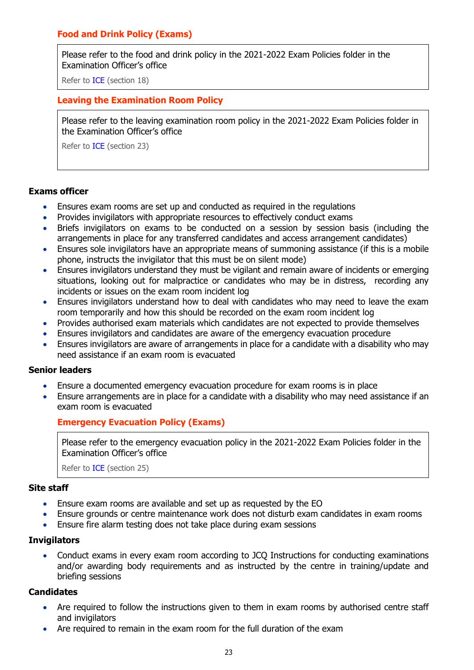## <span id="page-22-0"></span>**Food and Drink Policy (Exams)**

Please refer to the food and drink policy in the 2021-2022 Exam Policies folder in the Examination Officer's office

Refer to [ICE](http://www.jcq.org.uk/exams-office/ice---instructions-for-conducting-examinations) (section 18)

#### <span id="page-22-1"></span>**Leaving the Examination Room Policy**

Please refer to the leaving examination room policy in the 2021-2022 Exam Policies folder in the Examination Officer's office

Refer to [ICE](http://www.jcq.org.uk/exams-office/ice---instructions-for-conducting-examinations) (section 23)

#### **Exams officer**

- Ensures exam rooms are set up and conducted as required in the regulations
- Provides invigilators with appropriate resources to effectively conduct exams
- Briefs invigilators on exams to be conducted on a session by session basis (including the arrangements in place for any transferred candidates and access arrangement candidates)
- Ensures sole invigilators have an appropriate means of summoning assistance (if this is a mobile phone, instructs the invigilator that this must be on silent mode)
- Ensures invigilators understand they must be vigilant and remain aware of incidents or emerging situations, looking out for malpractice or candidates who may be in distress, recording any incidents or issues on the exam room incident log
- Ensures invigilators understand how to deal with candidates who may need to leave the exam room temporarily and how this should be recorded on the exam room incident log
- Provides authorised exam materials which candidates are not expected to provide themselves
- Ensures invigilators and candidates are aware of the emergency evacuation procedure
- Ensures invigilators are aware of arrangements in place for a candidate with a disability who may need assistance if an exam room is evacuated

#### **Senior leaders**

- Ensure a documented emergency evacuation procedure for exam rooms is in place
- <span id="page-22-2"></span>• Ensure arrangements are in place for a candidate with a disability who may need assistance if an exam room is evacuated

#### **Emergency Evacuation Policy (Exams)**

Please refer to the emergency evacuation policy in the 2021-2022 Exam Policies folder in the Examination Officer's office

Refer to [ICE](http://www.jcq.org.uk/exams-office/ice---instructions-for-conducting-examinations) (section 25)

#### **Site staff**

- Ensure exam rooms are available and set up as requested by the EO
- Ensure grounds or centre maintenance work does not disturb exam candidates in exam rooms
- Ensure fire alarm testing does not take place during exam sessions

#### **Invigilators**

• Conduct exams in every exam room according to JCQ Instructions for conducting examinations and/or awarding body requirements and as instructed by the centre in training/update and briefing sessions

#### **Candidates**

- Are required to follow the instructions given to them in exam rooms by authorised centre staff and invigilators
- Are required to remain in the exam room for the full duration of the exam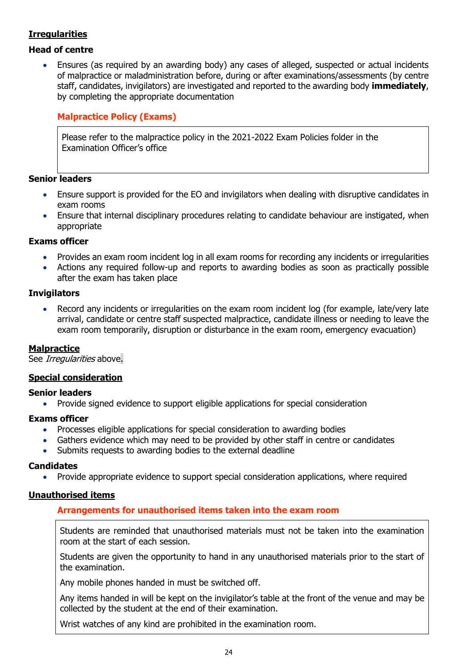## <span id="page-23-0"></span>**Irregularities**

## **Head of centre**

• Ensures (as required by an awarding body) any cases of alleged, suspected or actual incidents of malpractice or maladministration before, during or after examinations/assessments (by centre staff, candidates, invigilators) are investigated and reported to the awarding body **immediately**, by completing the appropriate documentation

## <span id="page-23-1"></span>**Malpractice Policy (Exams)**

Please refer to the malpractice policy in the 2021-2022 Exam Policies folder in the Examination Officer's office

#### **Senior leaders**

- Ensure support is provided for the EO and invigilators when dealing with disruptive candidates in exam rooms
- Ensure that internal disciplinary procedures relating to candidate behaviour are instigated, when appropriate

#### **Exams officer**

- Provides an exam room incident log in all exam rooms for recording any incidents or irregularities
- Actions any required follow-up and reports to awarding bodies as soon as practically possible after the exam has taken place

#### **Invigilators**

Record any incidents or irregularities on the exam room incident log (for example, late/very late arrival, candidate or centre staff suspected malpractice, candidate illness or needing to leave the exam room temporarily, disruption or disturbance in the exam room, emergency evacuation)

#### <span id="page-23-2"></span>**Malpractice**

See *Irregularities* above.

#### <span id="page-23-3"></span>**Special consideration**

#### **Senior leaders**

• Provide signed evidence to support eligible applications for special consideration

#### **Exams officer**

- Processes eligible applications for special consideration to awarding bodies
- Gathers evidence which may need to be provided by other staff in centre or candidates
- Submits requests to awarding bodies to the external deadline

## **Candidates**

• Provide appropriate evidence to support special consideration applications, where required

## <span id="page-23-5"></span><span id="page-23-4"></span>**Unauthorised items**

## **Arrangements for unauthorised items taken into the exam room**

Students are reminded that unauthorised materials must not be taken into the examination room at the start of each session.

Students are given the opportunity to hand in any unauthorised materials prior to the start of the examination.

Any mobile phones handed in must be switched off.

Any items handed in will be kept on the invigilator's table at the front of the venue and may be collected by the student at the end of their examination.

Wrist watches of any kind are prohibited in the examination room.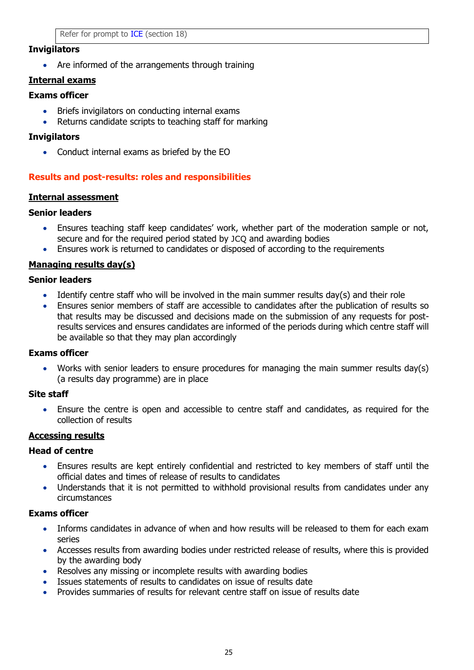#### **Invigilators**

• Are informed of the arrangements through training

## <span id="page-24-0"></span>**Internal exams**

## **Exams officer**

- Briefs invigilators on conducting internal exams
- Returns candidate scripts to teaching staff for marking

#### **Invigilators**

• Conduct internal exams as briefed by the EO

## <span id="page-24-1"></span>**Results and post-results: roles and responsibilities**

#### <span id="page-24-2"></span>**Internal assessment**

#### **Senior leaders**

- Ensures teaching staff keep candidates' work, whether part of the moderation sample or not, secure and for the required period stated by JCQ and awarding bodies
- Ensures work is returned to candidates or disposed of according to the requirements

## <span id="page-24-3"></span>**Managing results day(s)**

#### **Senior leaders**

- Identify centre staff who will be involved in the main summer results day(s) and their role
- Ensures senior members of staff are accessible to candidates after the publication of results so that results may be discussed and decisions made on the submission of any requests for postresults services and ensures candidates are informed of the periods during which centre staff will be available so that they may plan accordingly

#### **Exams officer**

• Works with senior leaders to ensure procedures for managing the main summer results day(s) (a results day programme) are in place

#### **Site staff**

• Ensure the centre is open and accessible to centre staff and candidates, as required for the collection of results

## <span id="page-24-4"></span>**Accessing results**

#### **Head of centre**

- Ensures results are kept entirely confidential and restricted to key members of staff until the official dates and times of release of results to candidates
- Understands that it is not permitted to withhold provisional results from candidates under any circumstances

#### **Exams officer**

- Informs candidates in advance of when and how results will be released to them for each exam series
- Accesses results from awarding bodies under restricted release of results, where this is provided by the awarding body
- Resolves any missing or incomplete results with awarding bodies
- Issues statements of results to candidates on issue of results date
- Provides summaries of results for relevant centre staff on issue of results date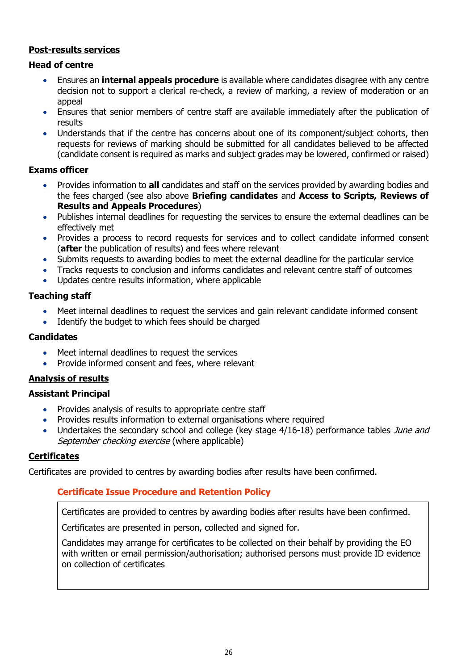## <span id="page-25-0"></span>**Post-results services**

#### **Head of centre**

- Ensures an **internal appeals procedure** is available where candidates disagree with any centre decision not to support a clerical re-check, a review of marking, a review of moderation or an appeal
- Ensures that senior members of centre staff are available immediately after the publication of results
- Understands that if the centre has concerns about one of its component/subject cohorts, then requests for reviews of marking should be submitted for all candidates believed to be affected (candidate consent is required as marks and subject grades may be lowered, confirmed or raised)

#### **Exams officer**

- Provides information to **all** candidates and staff on the services provided by awarding bodies and the fees charged (see also above **Briefing candidates** and **Access to Scripts, Reviews of Results and Appeals Procedures**)
- Publishes internal deadlines for requesting the services to ensure the external deadlines can be effectively met
- Provides a process to record requests for services and to collect candidate informed consent (**after** the publication of results) and fees where relevant
- Submits requests to awarding bodies to meet the external deadline for the particular service
- Tracks requests to conclusion and informs candidates and relevant centre staff of outcomes
- Updates centre results information, where applicable

#### **Teaching staff**

- Meet internal deadlines to request the services and gain relevant candidate informed consent
- Identify the budget to which fees should be charged

## **Candidates**

- Meet internal deadlines to request the services
- Provide informed consent and fees, where relevant

## <span id="page-25-1"></span>**Analysis of results**

## **Assistant Principal**

- Provides analysis of results to appropriate centre staff
- Provides results information to external organisations where required
- Undertakes the secondary school and college (key stage 4/16-18) performance tables June and September checking exercise (where applicable)

#### <span id="page-25-2"></span>**Certificates**

<span id="page-25-3"></span>Certificates are provided to centres by awarding bodies after results have been confirmed.

## **Certificate Issue Procedure and Retention Policy**

Certificates are provided to centres by awarding bodies after results have been confirmed.

Certificates are presented in person, collected and signed for.

Candidates may arrange for certificates to be collected on their behalf by providing the EO with written or email permission/authorisation; authorised persons must provide ID evidence on collection of certificates